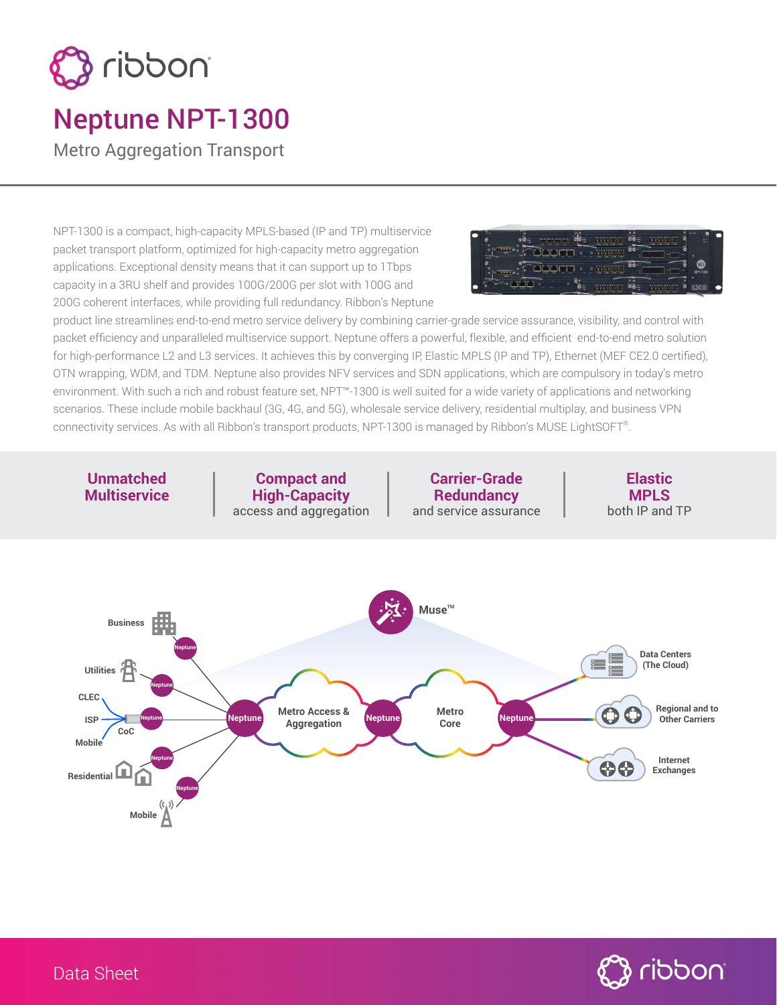

## Neptune NPT-1300

Metro Aggregation Transport

NPT-1300 is a compact, high-capacity MPLS-based (IP and TP) multiservice packet transport platform, optimized for high-capacity metro aggregation applications. Exceptional density means that it can support up to 1Tbps capacity in a 3RU shelf and provides 100G/200G per slot with 100G and 200G coherent interfaces, while providing full redundancy. Ribbon's Neptune



product line streamlines end-to-end metro service delivery by combining carrier-grade service assurance, visibility, and control with packet efficiency and unparalleled multiservice support. Neptune offers a powerful, flexible, and efficient end-to-end metro solution for high-performance L2 and L3 services. It achieves this by converging IP, Elastic MPLS (IP and TP), Ethernet (MEF CE2.0 certified), OTN wrapping, WDM, and TDM. Neptune also provides NFV services and SDN applications, which are compulsory in today's metro environment. With such a rich and robust feature set, NPT™-1300 is well suited for a wide variety of applications and networking scenarios. These include mobile backhaul (3G, 4G, and 5G), wholesale service delivery, residential multiplay, and business VPN connectivity services. As with all Ribbon's transport products, NPT-1300 is managed by Ribbon's MUSE LightSOFT®.

**Unmatched Multiservice**

**Compact and High-Capacity** access and aggregation

**Carrier-Grade Redundancy** and service assurance

**Elastic MPLS** both IP and TP